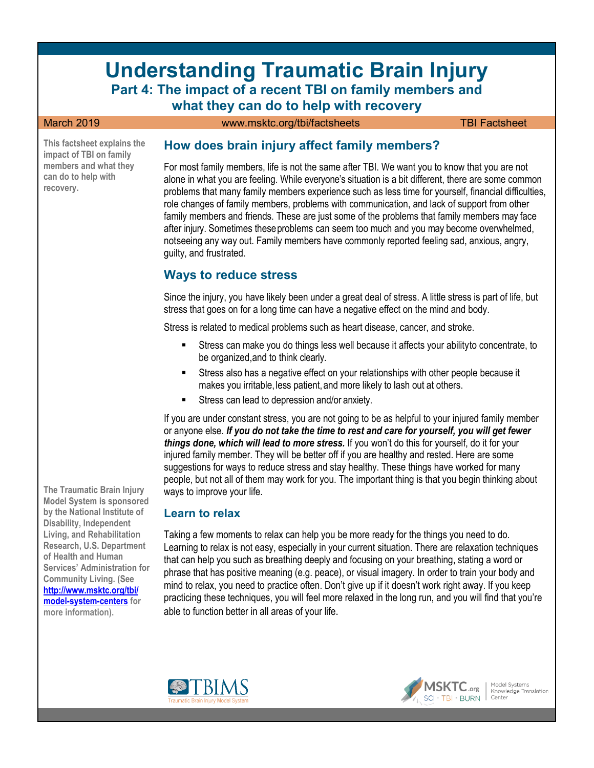# **Understanding Traumatic Brain Injury Part 4: The impact of a recent TBI on family members and**

**what they can do to help with recovery** March 2019 **WWW.msktc.org/tbi/factsheets** TBI Factsheet

**This factsheet explains the impact of TBI on family members and what they can do to help with recovery.** 

**The Traumatic Brain Injury Model System is sponsored by the National Institute of Disability, Independent Living, and Rehabilitation Research, U.S. Department of Health and Human Services' Administration for Community Living. (See [http://www.msktc.org/tbi/](http://www.msktc.org/tbi/model-system-centers) [model-system-centers](http://www.msktc.org/tbi/model-system-centers) for more information).**

#### **How does brain injury affect family members?**

For most family members, life is not the same after TBI. We want you to know that you are not alone in what you are feeling. While everyone's situation is a bit different, there are some common problems that many family members experience such as less time for yourself, financial difficulties, role changes of family members, problems with communication, and lack of support from other family members and friends. These are just some of the problems that family members may face after injury. Sometimes theseproblems can seem too much and you may become overwhelmed, notseeing any way out. Family members have commonly reported feeling sad, anxious, angry, guilty, and frustrated.

#### **Ways to reduce stress**

Since the injury, you have likely been under a great deal of stress. A little stress is part of life, but stress that goes on for a long time can have a negative effect on the mind and body.

Stress is related to medical problems such as heart disease, cancer, and stroke.

- Stress can make you do things less well because it affects your abilityto concentrate, to be organized,and to think clearly.
- Stress also has a negative effect on your relationships with other people because it makes you irritable, less patient, and more likely to lash out at others.
- Stress can lead to depression and/or anxiety.

If you are under constant stress, you are not going to be as helpful to your injured family member or anyone else. *If you do not take the time to rest and care for yourself, you will get fewer things done, which will lead to more stress.* If you won't do this for yourself, do it for your injured family member. They will be better off if you are healthy and rested. Here are some suggestions for ways to reduce stress and stay healthy. These things have worked for many people, but not all of them may work for you. The important thing is that you begin thinking about ways to improve your life.

#### **Learn to relax**

Taking a few moments to relax can help you be more ready for the things you need to do. Learning to relax is not easy, especially in your current situation. There are relaxation techniques that can help you such as breathing deeply and focusing on your breathing, stating a word or phrase that has positive meaning (e.g. peace), or visual imagery. In order to train your body and mind to relax, you need to practice often. Don't give up if it doesn't work right away. If you keep practicing these techniques, you will feel more relaxed in the long run, and you will find that you're able to function better in all areas of your life.



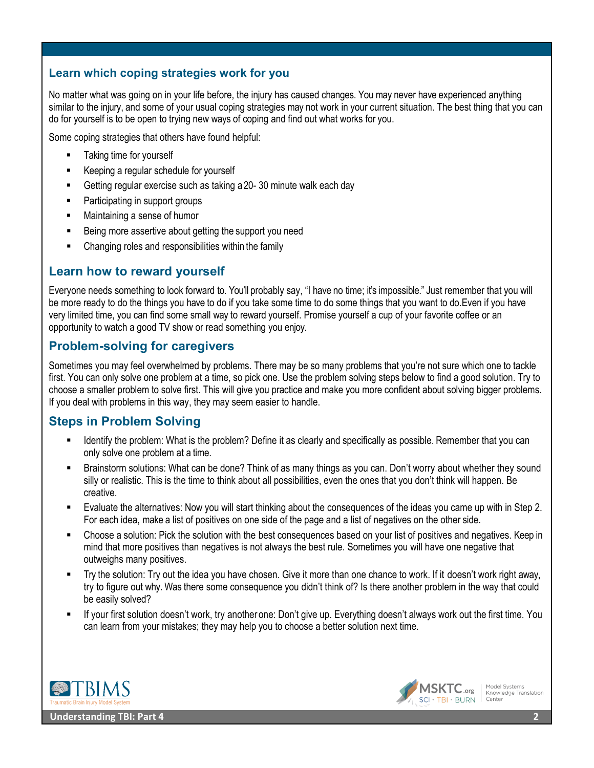#### **Learn which coping strategies work for you**

No matter what was going on in your life before, the injury has caused changes. You may never have experienced anything similar to the injury, and some of your usual coping strategies may not work in your current situation. The best thing that you can do for yourself is to be open to trying new ways of coping and find out what works for you.

Some coping strategies that others have found helpful:

- Taking time for yourself
- Keeping a regular schedule for yourself
- Getting regular exercise such as taking a20- 30 minute walk each day
- Participating in support groups
- Maintaining a sense of humor
- Being more assertive about getting the support you need
- Changing roles and responsibilities within the family

### **Learn how to reward yourself**

Everyone needs something to look forward to. You'll probably say, "I have no time; it's impossible." Just remember that you will be more ready to do the things you have to do if you take some time to do some things that you want to do.Even if you have very limited time, you can find some small way to reward yourself. Promise yourself a cup of your favorite coffee or an opportunity to watch a good TV show or read something you enjoy.

# **Problem-solving for caregivers**

Sometimes you may feel overwhelmed by problems. There may be so many problems that you're not sure which one to tackle first. You can only solve one problem at a time, so pick one. Use the problem solving steps below to find a good solution. Try to choose a smaller problem to solve first. This will give you practice and make you more confident about solving bigger problems. If you deal with problems in this way, they may seem easier to handle.

# **Steps in Problem Solving**

- Identify the problem: What is the problem? Define it as clearly and specifically as possible. Remember that you can only solve one problem at a time.
- Brainstorm solutions: What can be done? Think of as many things as you can. Don't worry about whether they sound silly or realistic. This is the time to think about all possibilities, even the ones that you don't think will happen. Be creative.
- Evaluate the alternatives: Now you will start thinking about the consequences of the ideas you came up with in Step 2. For each idea, make a list of positives on one side of the page and a list of negatives on the other side.
- Choose a solution: Pick the solution with the best consequences based on your list of positives and negatives. Keep in mind that more positives than negatives is not always the best rule. Sometimes you will have one negative that outweighs many positives.
- Try the solution: Try out the idea you have chosen. Give it more than one chance to work. If it doesn't work right away, try to figure out why. Was there some consequence you didn't think of? Is there another problem in the way that could be easily solved?
- If your first solution doesn't work, try another one: Don't give up. Everything doesn't always work out the first time. You can learn from your mistakes; they may help you to choose a better solution next time.



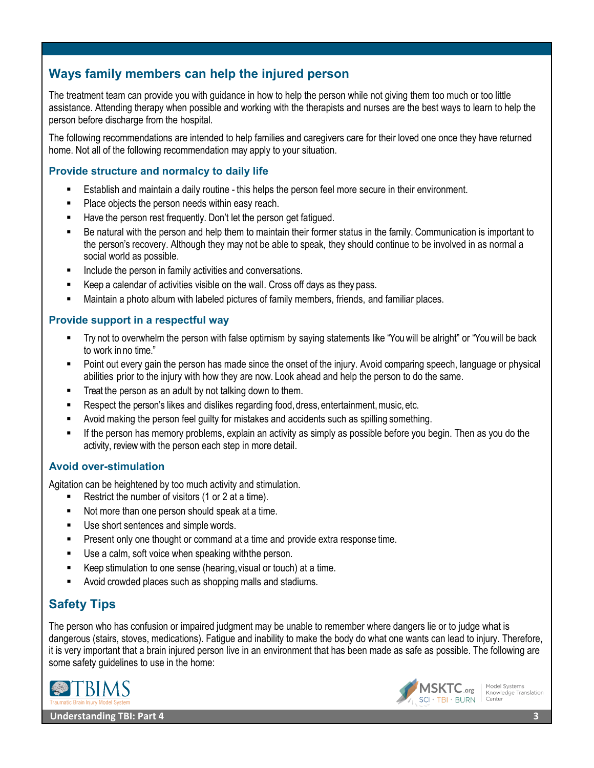# **Ways family members can help the injured person**

The treatment team can provide you with guidance in how to help the person while not giving them too much or too little assistance. Attending therapy when possible and working with the therapists and nurses are the best ways to learn to help the person before discharge from the hospital.

The following recommendations are intended to help families and caregivers care for their loved one once they have returned home. Not all of the following recommendation may apply to your situation.

#### **Provide structure and normalcy to daily life**

- Establish and maintain a daily routine this helps the person feel more secure in their environment.
- **Place objects the person needs within easy reach.**
- Have the person rest frequently. Don't let the person get fatigued.
- Be natural with the person and help them to maintain their former status in the family. Communication is important to the person's recovery. Although they may not be able to speak, they should continue to be involved in as normal a social world as possible.
- **Include the person in family activities and conversations.**
- Keep a calendar of activities visible on the wall. Cross off days as they pass.
- Maintain a photo album with labeled pictures of family members, friends, and familiar places.

#### **Provide support in a respectful way**

- Try not to overwhelm the person with false optimism by saying statements like "You will be alright" or "You will be back to work inno time."
- Point out every gain the person has made since the onset of the injury. Avoid comparing speech, language or physical abilities prior to the injury with how they are now. Look ahead and help the person to do the same.
- Treat the person as an adult by not talking down to them.
- Respect the person's likes and dislikes regarding food, dress, entertainment, music, etc.
- Avoid making the person feel guilty for mistakes and accidents such as spilling something.
- If the person has memory problems, explain an activity as simply as possible before you begin. Then as you do the activity, review with the person each step in more detail.

#### **Avoid over-stimulation**

Agitation can be heightened by too much activity and stimulation.

- Restrict the number of visitors (1 or 2 at a time).
- Not more than one person should speak at a time.
- Use short sentences and simple words.
- **Present only one thought or command at a time and provide extra response time.**
- Use a calm, soft voice when speaking withthe person.
- Keep stimulation to one sense (hearing,visual or touch) at a time.
- Avoid crowded places such as shopping malls and stadiums.

# **Safety Tips**

The person who has confusion or impaired judgment may be unable to remember where dangers lie or to judge what is dangerous (stairs, stoves, medications). Fatigue and inability to make the body do what one wants can lead to injury. Therefore, it is very important that a brain injured person live in an environment that has been made as safe as possible. The following are some safety guidelines to use in the home:





Model Systems<br>Knowledge Translation